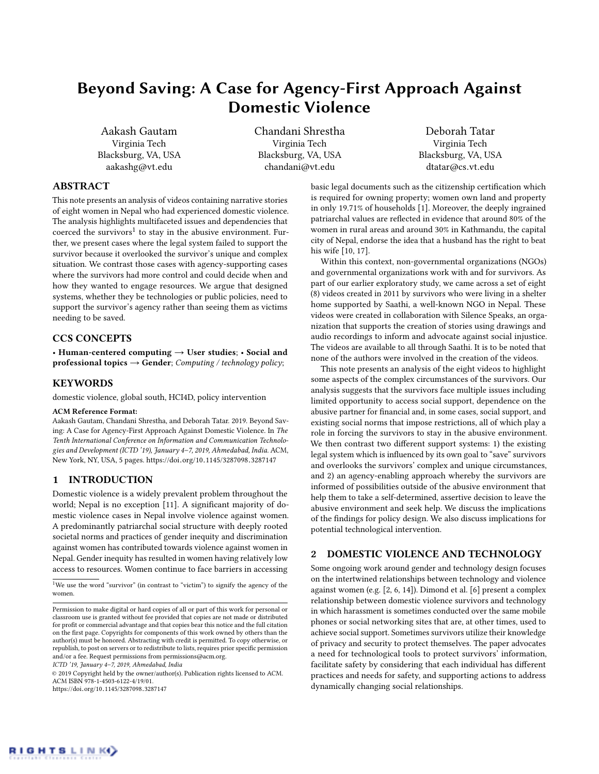# Beyond Saving: A Case for Agency-First Approach Against Domestic Violence

Aakash Gautam Virginia Tech Blacksburg, VA, USA aakashg@vt.edu

Chandani Shrestha Virginia Tech Blacksburg, VA, USA chandani@vt.edu

Deborah Tatar Virginia Tech Blacksburg, VA, USA dtatar@cs.vt.edu

# ABSTRACT

This note presents an analysis of videos containing narrative stories of eight women in Nepal who had experienced domestic violence. The analysis highlights multifaceted issues and dependencies that coerced the survivors<sup>[1](#page-0-0)</sup> to stay in the abusive environment. Further, we present cases where the legal system failed to support the survivor because it overlooked the survivor's unique and complex situation. We contrast those cases with agency-supporting cases where the survivors had more control and could decide when and how they wanted to engage resources. We argue that designed systems, whether they be technologies or public policies, need to support the survivor's agency rather than seeing them as victims needing to be saved.

# CCS CONCEPTS

• Human-centered computing  $\rightarrow$  User studies; • Social and professional topics  $\rightarrow$  Gender; Computing / technology policy;

# **KEYWORDS**

domestic violence, global south, HCI4D, policy intervention

#### ACM Reference Format:

Aakash Gautam, Chandani Shrestha, and Deborah Tatar. 2019. Beyond Saving: A Case for Agency-First Approach Against Domestic Violence. In The Tenth International Conference on Information and Communication Technologies and Development (ICTD '19), January 4–7, 2019, Ahmedabad, India. ACM, New York, NY, USA, [5](#page-4-0) pages. https://doi.org/10.[1145/3287098](https://doi.org/10.1145/3287098.3287147).<sup>3287147</sup>

## 1 INTRODUCTION

Domestic violence is a widely prevalent problem throughout the world; Nepal is no exception [\[11\]](#page-4-1). A significant majority of domestic violence cases in Nepal involve violence against women. A predominantly patriarchal social structure with deeply rooted societal norms and practices of gender inequity and discrimination against women has contributed towards violence against women in Nepal. Gender inequity has resulted in women having relatively low access to resources. Women continue to face barriers in accessing

ICTD '19, January 4–7, 2019, Ahmedabad, India

© 2019 Copyright held by the owner/author(s). Publication rights licensed to ACM. ACM ISBN 978-1-4503-6122-4/19/01. https://doi.org/10.[1145/3287098](https://doi.org/10.1145/3287098.3287147).<sup>3287147</sup>

basic legal documents such as the citizenship certification which is required for owning property; women own land and property in only 19.71% of households [\[1\]](#page-4-2). Moreover, the deeply ingrained patriarchal values are reflected in evidence that around 80% of the women in rural areas and around 30% in Kathmandu, the capital city of Nepal, endorse the idea that a husband has the right to beat his wife [\[10,](#page-4-3) [17\]](#page-4-4).

Within this context, non-governmental organizations (NGOs) and governmental organizations work with and for survivors. As part of our earlier exploratory study, we came across a set of eight (8) videos created in 2011 by survivors who were living in a shelter home supported by Saathi, a well-known NGO in Nepal. These videos were created in collaboration with Silence Speaks, an organization that supports the creation of stories using drawings and audio recordings to inform and advocate against social injustice. The videos are available to all through Saathi. It is to be noted that none of the authors were involved in the creation of the videos.

This note presents an analysis of the eight videos to highlight some aspects of the complex circumstances of the survivors. Our analysis suggests that the survivors face multiple issues including limited opportunity to access social support, dependence on the abusive partner for financial and, in some cases, social support, and existing social norms that impose restrictions, all of which play a role in forcing the survivors to stay in the abusive environment. We then contrast two different support systems: 1) the existing legal system which is influenced by its own goal to "save" survivors and overlooks the survivors' complex and unique circumstances, and 2) an agency-enabling approach whereby the survivors are informed of possibilities outside of the abusive environment that help them to take a self-determined, assertive decision to leave the abusive environment and seek help. We discuss the implications of the findings for policy design. We also discuss implications for potential technological intervention.

## 2 DOMESTIC VIOLENCE AND TECHNOLOGY

Some ongoing work around gender and technology design focuses on the intertwined relationships between technology and violence against women (e.g. [\[2,](#page-4-5) [6,](#page-4-6) [14\]](#page-4-7)). Dimond et al. [\[6\]](#page-4-6) present a complex relationship between domestic violence survivors and technology in which harassment is sometimes conducted over the same mobile phones or social networking sites that are, at other times, used to achieve social support. Sometimes survivors utilize their knowledge of privacy and security to protect themselves. The paper advocates a need for technological tools to protect survivors' information, facilitate safety by considering that each individual has different practices and needs for safety, and supporting actions to address dynamically changing social relationships.



<span id="page-0-0"></span> $^1\rm{We}$  use the word "survivor" (in contrast to "victim") to signify the agency of the women.

Permission to make digital or hard copies of all or part of this work for personal or classroom use is granted without fee provided that copies are not made or distributed for profit or commercial advantage and that copies bear this notice and the full citation on the first page. Copyrights for components of this work owned by others than the author(s) must be honored. Abstracting with credit is permitted. To copy otherwise, or republish, to post on servers or to redistribute to lists, requires prior specific permission and/or a fee. Request permissions from permissions@acm.org.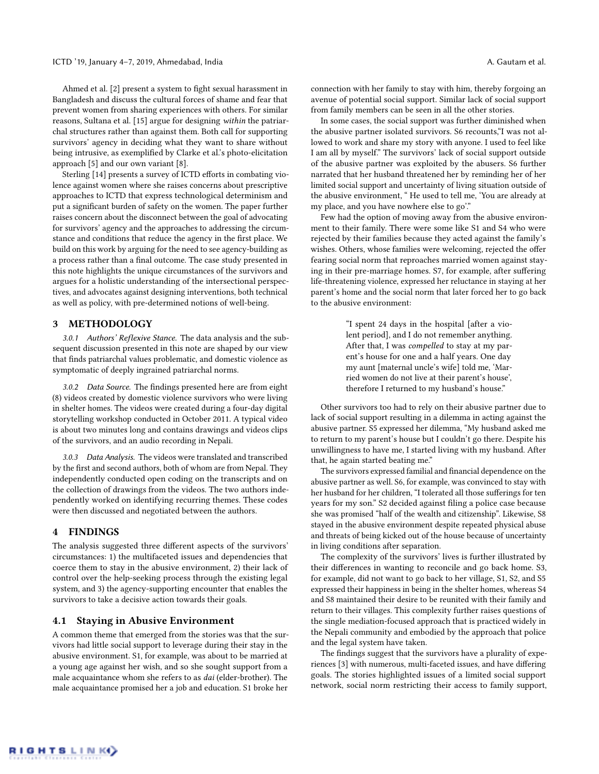Ahmed et al. [\[2\]](#page-4-5) present a system to fight sexual harassment in Bangladesh and discuss the cultural forces of shame and fear that prevent women from sharing experiences with others. For similar reasons, Sultana et al. [\[15\]](#page-4-8) argue for designing within the patriarchal structures rather than against them. Both call for supporting survivors' agency in deciding what they want to share without being intrusive, as exemplified by Clarke et al.'s photo-elicitation approach [\[5\]](#page-4-9) and our own variant [\[8\]](#page-4-10).

Sterling [\[14\]](#page-4-7) presents a survey of ICTD efforts in combating violence against women where she raises concerns about prescriptive approaches to ICTD that express technological determinism and put a significant burden of safety on the women. The paper further raises concern about the disconnect between the goal of advocating for survivors' agency and the approaches to addressing the circumstance and conditions that reduce the agency in the first place. We build on this work by arguing for the need to see agency-building as a process rather than a final outcome. The case study presented in this note highlights the unique circumstances of the survivors and argues for a holistic understanding of the intersectional perspectives, and advocates against designing interventions, both technical as well as policy, with pre-determined notions of well-being.

# 3 METHODOLOGY

3.0.1 Authors' Reflexive Stance. The data analysis and the subsequent discussion presented in this note are shaped by our view that finds patriarchal values problematic, and domestic violence as symptomatic of deeply ingrained patriarchal norms.

3.0.2 Data Source. The findings presented here are from eight (8) videos created by domestic violence survivors who were living in shelter homes. The videos were created during a four-day digital storytelling workshop conducted in October 2011. A typical video is about two minutes long and contains drawings and videos clips of the survivors, and an audio recording in Nepali.

3.0.3 Data Analysis. The videos were translated and transcribed by the first and second authors, both of whom are from Nepal. They independently conducted open coding on the transcripts and on the collection of drawings from the videos. The two authors independently worked on identifying recurring themes. These codes were then discussed and negotiated between the authors.

# 4 FINDINGS

The analysis suggested three different aspects of the survivors' circumstances: 1) the multifaceted issues and dependencies that coerce them to stay in the abusive environment, 2) their lack of control over the help-seeking process through the existing legal system, and 3) the agency-supporting encounter that enables the survivors to take a decisive action towards their goals.

#### 4.1 Staying in Abusive Environment

A common theme that emerged from the stories was that the survivors had little social support to leverage during their stay in the abusive environment. S1, for example, was about to be married at a young age against her wish, and so she sought support from a male acquaintance whom she refers to as dai (elder-brother). The male acquaintance promised her a job and education. S1 broke her

connection with her family to stay with him, thereby forgoing an avenue of potential social support. Similar lack of social support from family members can be seen in all the other stories.

In some cases, the social support was further diminished when the abusive partner isolated survivors. S6 recounts,"I was not allowed to work and share my story with anyone. I used to feel like I am all by myself." The survivors' lack of social support outside of the abusive partner was exploited by the abusers. S6 further narrated that her husband threatened her by reminding her of her limited social support and uncertainty of living situation outside of the abusive environment, " He used to tell me, 'You are already at my place, and you have nowhere else to go'."

Few had the option of moving away from the abusive environment to their family. There were some like S1 and S4 who were rejected by their families because they acted against the family's wishes. Others, whose families were welcoming, rejected the offer fearing social norm that reproaches married women against staying in their pre-marriage homes. S7, for example, after suffering life-threatening violence, expressed her reluctance in staying at her parent's home and the social norm that later forced her to go back to the abusive environment:

> "I spent 24 days in the hospital [after a violent period], and I do not remember anything. After that, I was compelled to stay at my parent's house for one and a half years. One day my aunt [maternal uncle's wife] told me, 'Married women do not live at their parent's house', therefore I returned to my husband's house."

Other survivors too had to rely on their abusive partner due to lack of social support resulting in a dilemma in acting against the abusive partner. S5 expressed her dilemma, "My husband asked me to return to my parent's house but I couldn't go there. Despite his unwillingness to have me, I started living with my husband. After that, he again started beating me."

The survivors expressed familial and financial dependence on the abusive partner as well. S6, for example, was convinced to stay with her husband for her children, "I tolerated all those sufferings for ten years for my son." S2 decided against filing a police case because she was promised "half of the wealth and citizenship". Likewise, S8 stayed in the abusive environment despite repeated physical abuse and threats of being kicked out of the house because of uncertainty in living conditions after separation.

The complexity of the survivors' lives is further illustrated by their differences in wanting to reconcile and go back home. S3, for example, did not want to go back to her village, S1, S2, and S5 expressed their happiness in being in the shelter homes, whereas S4 and S8 maintained their desire to be reunited with their family and return to their villages. This complexity further raises questions of the single mediation-focused approach that is practiced widely in the Nepali community and embodied by the approach that police and the legal system have taken.

The findings suggest that the survivors have a plurality of experiences [\[3\]](#page-4-11) with numerous, multi-faceted issues, and have differing goals. The stories highlighted issues of a limited social support network, social norm restricting their access to family support,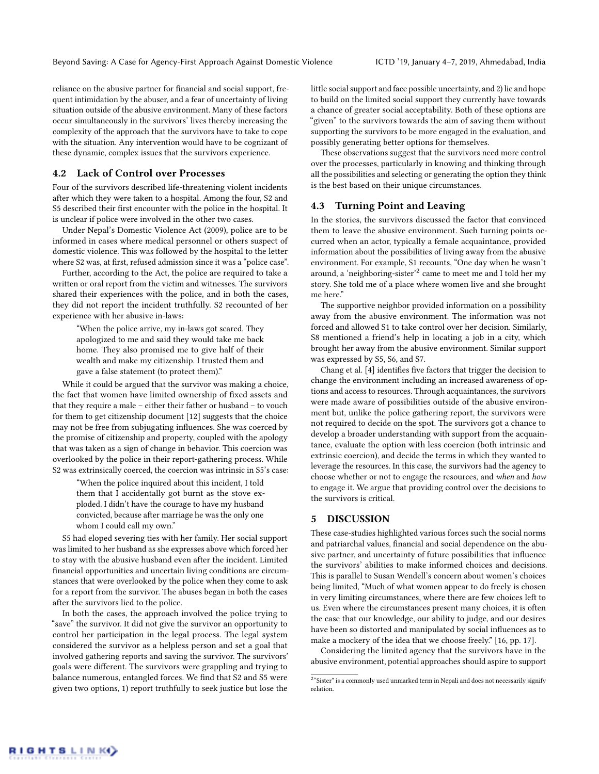reliance on the abusive partner for financial and social support, frequent intimidation by the abuser, and a fear of uncertainty of living situation outside of the abusive environment. Many of these factors occur simultaneously in the survivors' lives thereby increasing the complexity of the approach that the survivors have to take to cope with the situation. Any intervention would have to be cognizant of these dynamic, complex issues that the survivors experience.

# 4.2 Lack of Control over Processes

Four of the survivors described life-threatening violent incidents after which they were taken to a hospital. Among the four, S2 and S5 described their first encounter with the police in the hospital. It is unclear if police were involved in the other two cases.

Under Nepal's Domestic Violence Act (2009), police are to be informed in cases where medical personnel or others suspect of domestic violence. This was followed by the hospital to the letter where S2 was, at first, refused admission since it was a "police case".

Further, according to the Act, the police are required to take a written or oral report from the victim and witnesses. The survivors shared their experiences with the police, and in both the cases, they did not report the incident truthfully. S2 recounted of her experience with her abusive in-laws:

"When the police arrive, my in-laws got scared. They apologized to me and said they would take me back home. They also promised me to give half of their wealth and make my citizenship. I trusted them and gave a false statement (to protect them)."

While it could be argued that the survivor was making a choice, the fact that women have limited ownership of fixed assets and that they require a male – either their father or husband – to vouch for them to get citizenship document [\[12\]](#page-4-12) suggests that the choice may not be free from subjugating influences. She was coerced by the promise of citizenship and property, coupled with the apology that was taken as a sign of change in behavior. This coercion was overlooked by the police in their report-gathering process. While S2 was extrinsically coerced, the coercion was intrinsic in S5's case:

"When the police inquired about this incident, I told them that I accidentally got burnt as the stove exploded. I didn't have the courage to have my husband convicted, because after marriage he was the only one whom I could call my own."

S5 had eloped severing ties with her family. Her social support was limited to her husband as she expresses above which forced her to stay with the abusive husband even after the incident. Limited financial opportunities and uncertain living conditions are circumstances that were overlooked by the police when they come to ask for a report from the survivor. The abuses began in both the cases after the survivors lied to the police.

In both the cases, the approach involved the police trying to "save" the survivor. It did not give the survivor an opportunity to control her participation in the legal process. The legal system considered the survivor as a helpless person and set a goal that involved gathering reports and saving the survivor. The survivors' goals were different. The survivors were grappling and trying to balance numerous, entangled forces. We find that S2 and S5 were given two options, 1) report truthfully to seek justice but lose the

little social support and face possible uncertainty, and 2) lie and hope to build on the limited social support they currently have towards a chance of greater social acceptability. Both of these options are "given" to the survivors towards the aim of saving them without supporting the survivors to be more engaged in the evaluation, and possibly generating better options for themselves.

These observations suggest that the survivors need more control over the processes, particularly in knowing and thinking through all the possibilities and selecting or generating the option they think is the best based on their unique circumstances.

# 4.3 Turning Point and Leaving

In the stories, the survivors discussed the factor that convinced them to leave the abusive environment. Such turning points occurred when an actor, typically a female acquaintance, provided information about the possibilities of living away from the abusive environment. For example, S1 recounts, "One day when he wasn't around, a 'neighboring-sister' $^2$  $^2$  came to meet me and I told her my story. She told me of a place where women live and she brought me here."

The supportive neighbor provided information on a possibility away from the abusive environment. The information was not forced and allowed S1 to take control over her decision. Similarly, S8 mentioned a friend's help in locating a job in a city, which brought her away from the abusive environment. Similar support was expressed by S5, S6, and S7.

Chang et al. [\[4\]](#page-4-13) identifies five factors that trigger the decision to change the environment including an increased awareness of options and access to resources. Through acquaintances, the survivors were made aware of possibilities outside of the abusive environment but, unlike the police gathering report, the survivors were not required to decide on the spot. The survivors got a chance to develop a broader understanding with support from the acquaintance, evaluate the option with less coercion (both intrinsic and extrinsic coercion), and decide the terms in which they wanted to leverage the resources. In this case, the survivors had the agency to choose whether or not to engage the resources, and when and how to engage it. We argue that providing control over the decisions to the survivors is critical.

#### 5 DISCUSSION

These case-studies highlighted various forces such the social norms and patriarchal values, financial and social dependence on the abusive partner, and uncertainty of future possibilities that influence the survivors' abilities to make informed choices and decisions. This is parallel to Susan Wendell's concern about women's choices being limited, "Much of what women appear to do freely is chosen in very limiting circumstances, where there are few choices left to us. Even where the circumstances present many choices, it is often the case that our knowledge, our ability to judge, and our desires have been so distorted and manipulated by social influences as to make a mockery of the idea that we choose freely." [\[16,](#page-4-14) pp. 17].

Considering the limited agency that the survivors have in the abusive environment, potential approaches should aspire to support

<span id="page-2-0"></span> $2<sup>a</sup>$  Sister" is a commonly used unmarked term in Nepali and does not necessarily signify relation.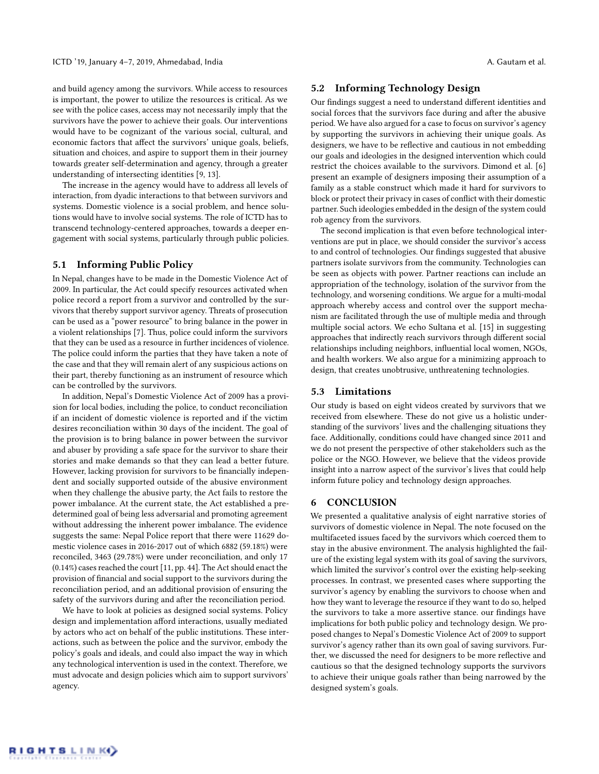and build agency among the survivors. While access to resources is important, the power to utilize the resources is critical. As we see with the police cases, access may not necessarily imply that the survivors have the power to achieve their goals. Our interventions would have to be cognizant of the various social, cultural, and economic factors that affect the survivors' unique goals, beliefs, situation and choices, and aspire to support them in their journey towards greater self-determination and agency, through a greater understanding of intersecting identities [\[9,](#page-4-15) [13\]](#page-4-16).

The increase in the agency would have to address all levels of interaction, from dyadic interactions to that between survivors and systems. Domestic violence is a social problem, and hence solutions would have to involve social systems. The role of ICTD has to transcend technology-centered approaches, towards a deeper engagement with social systems, particularly through public policies.

## 5.1 Informing Public Policy

In Nepal, changes have to be made in the Domestic Violence Act of 2009. In particular, the Act could specify resources activated when police record a report from a survivor and controlled by the survivors that thereby support survivor agency. Threats of prosecution can be used as a "power resource" to bring balance in the power in a violent relationships [\[7\]](#page-4-17). Thus, police could inform the survivors that they can be used as a resource in further incidences of violence. The police could inform the parties that they have taken a note of the case and that they will remain alert of any suspicious actions on their part, thereby functioning as an instrument of resource which can be controlled by the survivors.

In addition, Nepal's Domestic Violence Act of 2009 has a provision for local bodies, including the police, to conduct reconciliation if an incident of domestic violence is reported and if the victim desires reconciliation within 30 days of the incident. The goal of the provision is to bring balance in power between the survivor and abuser by providing a safe space for the survivor to share their stories and make demands so that they can lead a better future. However, lacking provision for survivors to be financially independent and socially supported outside of the abusive environment when they challenge the abusive party, the Act fails to restore the power imbalance. At the current state, the Act established a predetermined goal of being less adversarial and promoting agreement without addressing the inherent power imbalance. The evidence suggests the same: Nepal Police report that there were 11629 domestic violence cases in 2016-2017 out of which 6882 (59.18%) were reconciled, 3463 (29.78%) were under reconciliation, and only 17 (0.14%) cases reached the court [\[11,](#page-4-1) pp. 44]. The Act should enact the provision of financial and social support to the survivors during the reconciliation period, and an additional provision of ensuring the safety of the survivors during and after the reconciliation period.

We have to look at policies as designed social systems. Policy design and implementation afford interactions, usually mediated by actors who act on behalf of the public institutions. These interactions, such as between the police and the survivor, embody the policy's goals and ideals, and could also impact the way in which any technological intervention is used in the context. Therefore, we must advocate and design policies which aim to support survivors' agency.

# 5.2 Informing Technology Design

Our findings suggest a need to understand different identities and social forces that the survivors face during and after the abusive period. We have also argued for a case to focus on survivor's agency by supporting the survivors in achieving their unique goals. As designers, we have to be reflective and cautious in not embedding our goals and ideologies in the designed intervention which could restrict the choices available to the survivors. Dimond et al. [\[6\]](#page-4-6) present an example of designers imposing their assumption of a family as a stable construct which made it hard for survivors to block or protect their privacy in cases of conflict with their domestic partner. Such ideologies embedded in the design of the system could rob agency from the survivors.

The second implication is that even before technological interventions are put in place, we should consider the survivor's access to and control of technologies. Our findings suggested that abusive partners isolate survivors from the community. Technologies can be seen as objects with power. Partner reactions can include an appropriation of the technology, isolation of the survivor from the technology, and worsening conditions. We argue for a multi-modal approach whereby access and control over the support mechanism are facilitated through the use of multiple media and through multiple social actors. We echo Sultana et al. [\[15\]](#page-4-8) in suggesting approaches that indirectly reach survivors through different social relationships including neighbors, influential local women, NGOs, and health workers. We also argue for a minimizing approach to design, that creates unobtrusive, unthreatening technologies.

# 5.3 Limitations

Our study is based on eight videos created by survivors that we received from elsewhere. These do not give us a holistic understanding of the survivors' lives and the challenging situations they face. Additionally, conditions could have changed since 2011 and we do not present the perspective of other stakeholders such as the police or the NGO. However, we believe that the videos provide insight into a narrow aspect of the survivor's lives that could help inform future policy and technology design approaches.

# 6 CONCLUSION

We presented a qualitative analysis of eight narrative stories of survivors of domestic violence in Nepal. The note focused on the multifaceted issues faced by the survivors which coerced them to stay in the abusive environment. The analysis highlighted the failure of the existing legal system with its goal of saving the survivors, which limited the survivor's control over the existing help-seeking processes. In contrast, we presented cases where supporting the survivor's agency by enabling the survivors to choose when and how they want to leverage the resource if they want to do so, helped the survivors to take a more assertive stance. our findings have implications for both public policy and technology design. We proposed changes to Nepal's Domestic Violence Act of 2009 to support survivor's agency rather than its own goal of saving survivors. Further, we discussed the need for designers to be more reflective and cautious so that the designed technology supports the survivors to achieve their unique goals rather than being narrowed by the designed system's goals.